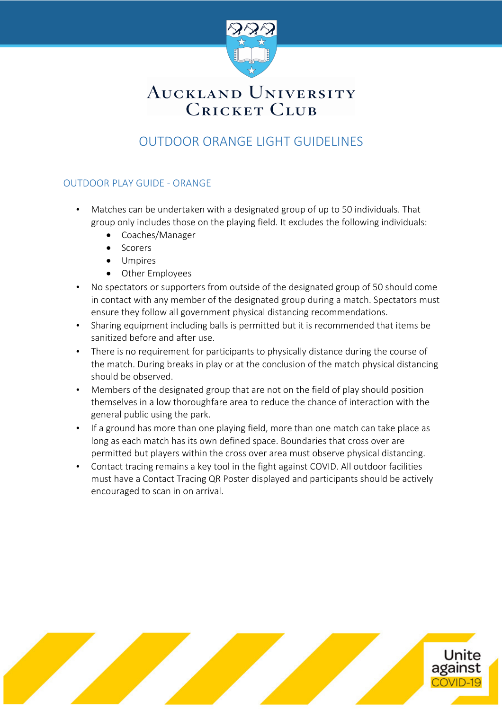

# AUCKLAND UNIVERSITY **CRICKET CLUB**

### OUTDOOR ORANGE LIGHT GUIDELINES

#### OUTDOOR PLAY GUIDE - ORANGE

- Matches can be undertaken with a designated group of up to 50 individuals. That group only includes those on the playing field. It excludes the following individuals:
	- Coaches/Manager
	- Scorers
	- Umpires
	- Other Employees
- No spectators or supporters from outside of the designated group of 50 should come in contact with any member of the designated group during a match. Spectators must ensure they follow all government physical distancing recommendations.
- Sharing equipment including balls is permitted but it is recommended that items be sanitized before and after use.
- There is no requirement for participants to physically distance during the course of the match. During breaks in play or at the conclusion of the match physical distancing should be observed.
- Members of the designated group that are not on the field of play should position themselves in a low thoroughfare area to reduce the chance of interaction with the general public using the park.
- If a ground has more than one playing field, more than one match can take place as long as each match has its own defined space. Boundaries that cross over are permitted but players within the cross over area must observe physical distancing.
- Contact tracing remains a key tool in the fight against COVID. All outdoor facilities must have a Contact Tracing QR Poster displayed and participants should be actively encouraged to scan in on arrival.